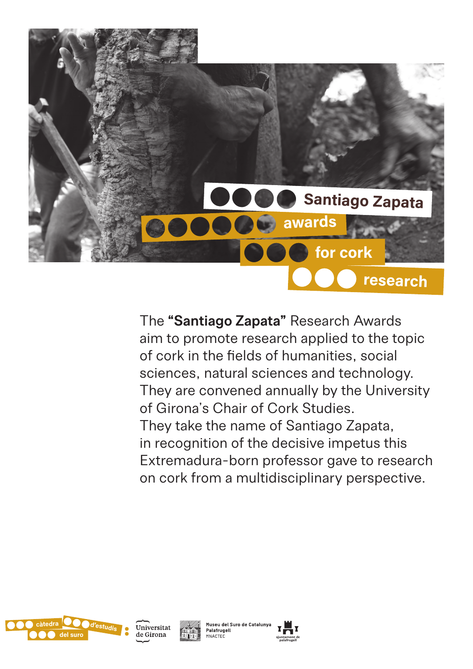

The **"Santiago Zapata"** Research Awards aim to promote research applied to the topic of cork in the fields of humanities, social sciences, natural sciences and technology. They are convened annually by the University of Girona's Chair of Cork Studies. They take the name of Santiago Zapata, in recognition of the decisive impetus this Extremadura-born professor gave to research on cork from a multidisciplinary perspective.







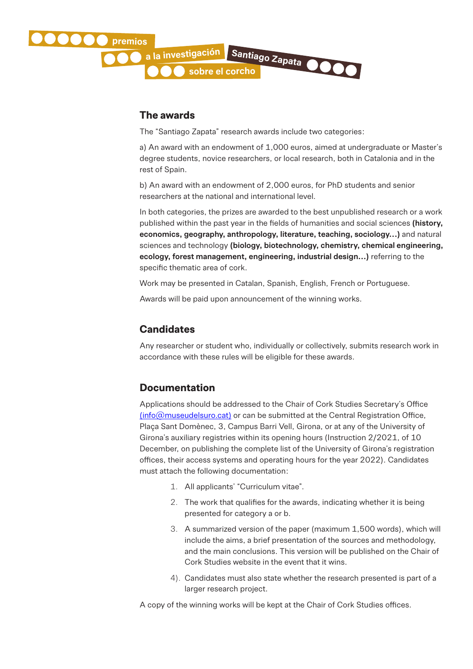

#### **The awards**

The "Santiago Zapata" research awards include two categories:

a) An award with an endowment of 1,000 euros, aimed at undergraduate or Master's degree students, novice researchers, or local research, both in Catalonia and in the rest of Spain.

b) An award with an endowment of 2,000 euros, for PhD students and senior researchers at the national and international level.

In both categories, the prizes are awarded to the best unpublished research or a work published within the past year in the fields of humanities and social sciences **(history, economics, geography, anthropology, literature, teaching, sociology...)** and natural sciences and technology **(biology, biotechnology, chemistry, chemical engineering, ecology, forest management, engineering, industrial design...)** referring to the specific thematic area of cork.

Work may be presented in Catalan, Spanish, English, French or Portuguese.

Awards will be paid upon announcement of the winning works.

#### **Candidates**

Any researcher or student who, individually or collectively, submits research work in accordance with these rules will be eligible for these awards.

#### **Documentation**

Applications should be addressed to the Chair of Cork Studies Secretary's Office (info@museudelsuro.cat) or can be submitted at the Central Registration Office, Plaça Sant Domènec, 3, Campus Barri Vell, Girona, or at any of the University of Girona's auxiliary registries within its opening hours (Instruction 2/2021, of 10 December, on publishing the complete list of the University of Girona's registration offices, their access systems and operating hours for the year 2022). Candidates must attach the following documentation:

- 1. All applicants' "Curriculum vitae".
- 2. The work that qualifies for the awards, indicating whether it is being presented for category a or b.
- 3. A summarized version of the paper (maximum 1,500 words), which will include the aims, a brief presentation of the sources and methodology, and the main conclusions. This version will be published on the Chair of Cork Studies website in the event that it wins.
- 4). Candidates must also state whether the research presented is part of a larger research project.

A copy of the winning works will be kept at the Chair of Cork Studies offices.